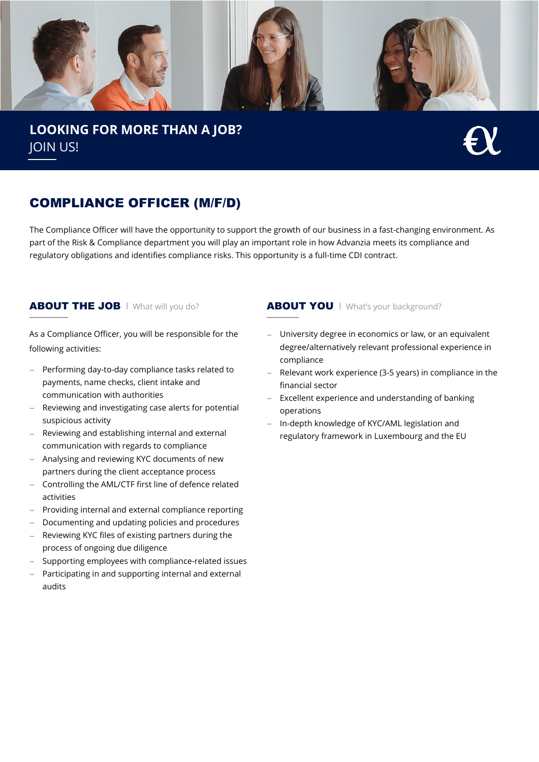

**LOOKING FOR MORE THAN A JOB?** JOIN US!



# COMPLIANCE OFFICER (M/F/D)

The Compliance Officer will have the opportunity to support the growth of our business in a fast-changing environment. As part of the Risk & Compliance department you will play an important role in how Advanzia meets its compliance and regulatory obligations and identifies compliance risks. This opportunity is a full-time CDI contract.

As a Compliance Officer, you will be responsible for the following activities:

- − Performing day-to-day compliance tasks related to payments, name checks, client intake and communication with authorities
- − Reviewing and investigating case alerts for potential suspicious activity
- Reviewing and establishing internal and external communication with regards to compliance
- − Analysing and reviewing KYC documents of new partners during the client acceptance process
- − Controlling the AML/CTF first line of defence related activities
- Providing internal and external compliance reporting
- − Documenting and updating policies and procedures
- Reviewing KYC files of existing partners during the process of ongoing due diligence
- − Supporting employees with compliance-related issues
- Participating in and supporting internal and external audits

### ABOUT THE JOB | What will you do? <br>
ABOUT YOU | What's your background?

- − University degree in economics or law, or an equivalent degree/alternatively relevant professional experience in compliance
- − Relevant work experience (3-5 years) in compliance in the financial sector
- − Excellent experience and understanding of banking operations
- − In-depth knowledge of KYC/AML legislation and regulatory framework in Luxembourg and the EU